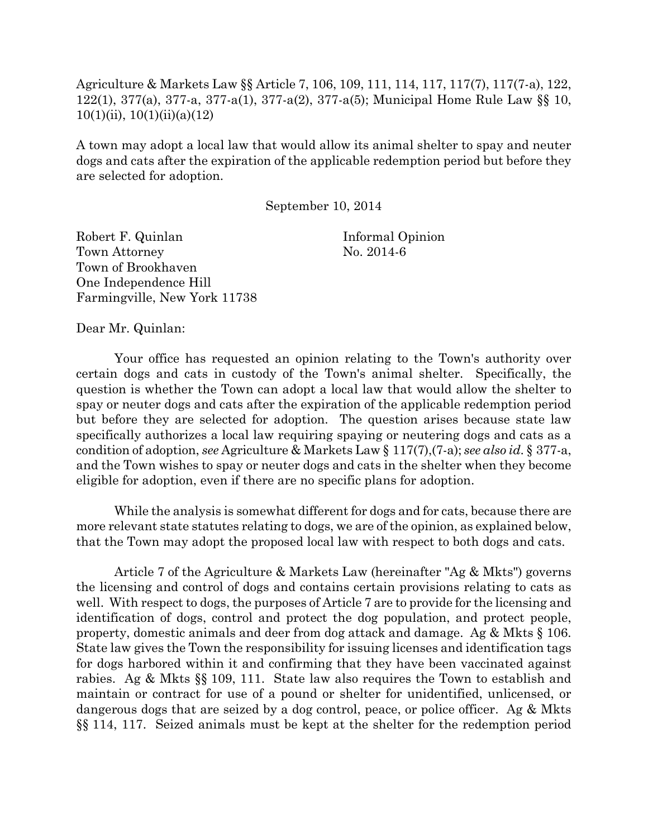Agriculture & Markets Law §§ Article 7, 106, 109, 111, 114, 117, 117(7), 117(7-a), 122, 122(1), 377(a), 377-a, 377-a(1), 377-a(2), 377-a(5); Municipal Home Rule Law §§ 10,  $10(1)(ii)$ ,  $10(1)(ii)(a)(12)$ 

A town may adopt a local law that would allow its animal shelter to spay and neuter dogs and cats after the expiration of the applicable redemption period but before they are selected for adoption.

September 10, 2014

Robert F. Quinlan Informal Opinion Town Attorney No. 2014-6 Town of Brookhaven One Independence Hill Farmingville, New York 11738

Dear Mr. Quinlan:

Your office has requested an opinion relating to the Town's authority over certain dogs and cats in custody of the Town's animal shelter. Specifically, the question is whether the Town can adopt a local law that would allow the shelter to spay or neuter dogs and cats after the expiration of the applicable redemption period but before they are selected for adoption. The question arises because state law specifically authorizes a local law requiring spaying or neutering dogs and cats as a condition of adoption, *see* Agriculture & Markets Law § 117(7),(7-a); *see also id*. § 377-a, and the Town wishes to spay or neuter dogs and cats in the shelter when they become eligible for adoption, even if there are no specific plans for adoption.

While the analysis is somewhat different for dogs and for cats, because there are more relevant state statutes relating to dogs, we are of the opinion, as explained below, that the Town may adopt the proposed local law with respect to both dogs and cats.

Article 7 of the Agriculture & Markets Law (hereinafter "Ag & Mkts") governs the licensing and control of dogs and contains certain provisions relating to cats as well. With respect to dogs, the purposes of Article 7 are to provide for the licensing and identification of dogs, control and protect the dog population, and protect people, property, domestic animals and deer from dog attack and damage. Ag & Mkts § 106. State law gives the Town the responsibility for issuing licenses and identification tags for dogs harbored within it and confirming that they have been vaccinated against rabies. Ag & Mkts §§ 109, 111. State law also requires the Town to establish and maintain or contract for use of a pound or shelter for unidentified, unlicensed, or dangerous dogs that are seized by a dog control, peace, or police officer. Ag & Mkts §§ 114, 117. Seized animals must be kept at the shelter for the redemption period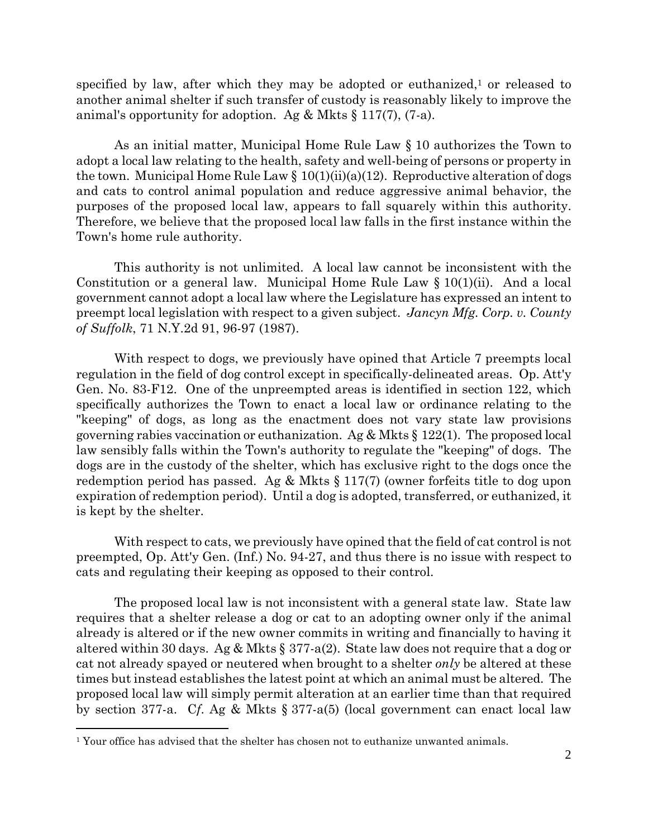specified by law, after which they may be adopted or euthanized,<sup>1</sup> or released to another animal shelter if such transfer of custody is reasonably likely to improve the animal's opportunity for adoption. Ag  $\&$  Mkts  $\S$  117(7), (7-a).

As an initial matter, Municipal Home Rule Law § 10 authorizes the Town to adopt a local law relating to the health, safety and well-being of persons or property in the town. Municipal Home Rule Law  $\S 10(1)(ii)(a)(12)$ . Reproductive alteration of dogs and cats to control animal population and reduce aggressive animal behavior, the purposes of the proposed local law, appears to fall squarely within this authority. Therefore, we believe that the proposed local law falls in the first instance within the Town's home rule authority.

This authority is not unlimited. A local law cannot be inconsistent with the Constitution or a general law. Municipal Home Rule Law  $\S 10(1)(ii)$ . And a local government cannot adopt a local law where the Legislature has expressed an intent to preempt local legislation with respect to a given subject. *Jancyn Mfg. Corp. v. County of Suffolk*, 71 N.Y.2d 91, 96-97 (1987).

With respect to dogs, we previously have opined that Article 7 preempts local regulation in the field of dog control except in specifically-delineated areas. Op. Att'y Gen. No. 83-F12. One of the unpreempted areas is identified in section 122, which specifically authorizes the Town to enact a local law or ordinance relating to the "keeping" of dogs, as long as the enactment does not vary state law provisions governing rabies vaccination or euthanization. Ag & Mkts § 122(1). The proposed local law sensibly falls within the Town's authority to regulate the "keeping" of dogs. The dogs are in the custody of the shelter, which has exclusive right to the dogs once the redemption period has passed. Ag & Mkts § 117(7) (owner forfeits title to dog upon expiration of redemption period). Until a dog is adopted, transferred, or euthanized, it is kept by the shelter.

With respect to cats, we previously have opined that the field of cat control is not preempted, Op. Att'y Gen. (Inf.) No. 94-27, and thus there is no issue with respect to cats and regulating their keeping as opposed to their control.

The proposed local law is not inconsistent with a general state law. State law requires that a shelter release a dog or cat to an adopting owner only if the animal already is altered or if the new owner commits in writing and financially to having it altered within 30 days. Ag & Mkts § 377-a(2). State law does not require that a dog or cat not already spayed or neutered when brought to a shelter *only* be altered at these times but instead establishes the latest point at which an animal must be altered. The proposed local law will simply permit alteration at an earlier time than that required by section 377-a. C*f*. Ag & Mkts § 377-a(5) (local government can enact local law

 $\overline{a}$ 

<sup>&</sup>lt;sup>1</sup> Your office has advised that the shelter has chosen not to euthanize unwanted animals.